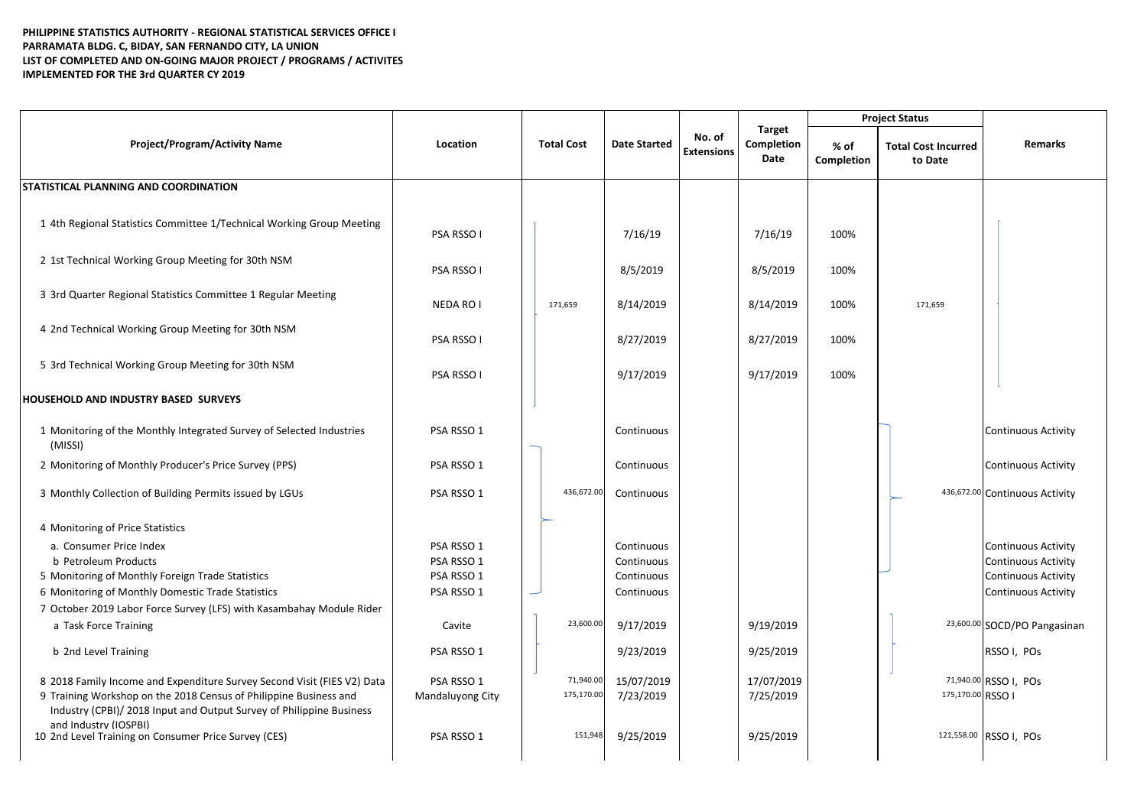## **PHILIPPINE STATISTICS AUTHORITY - REGIONAL STATISTICAL SERVICES OFFICE I PARRAMATA BLDG. C, BIDAY, SAN FERNANDO CITY, LA UNION LIST OF COMPLETED AND ON-GOING MAJOR PROJECT / PROGRAMS / ACTIVITES IMPLEMENTED FOR THE 3rd QUARTER CY 2019**

|                                                                                                                                                                                                                      |                                |                         |                         | No. of<br><b>Extensions</b> | Target<br>Completion<br>Date | <b>Project Status</b> |                                       |                                |
|----------------------------------------------------------------------------------------------------------------------------------------------------------------------------------------------------------------------|--------------------------------|-------------------------|-------------------------|-----------------------------|------------------------------|-----------------------|---------------------------------------|--------------------------------|
| <b>Project/Program/Activity Name</b>                                                                                                                                                                                 | Location                       | <b>Total Cost</b>       | <b>Date Started</b>     |                             |                              | % of<br>Completion    | <b>Total Cost Incurred</b><br>to Date | <b>Remarks</b>                 |
| STATISTICAL PLANNING AND COORDINATION                                                                                                                                                                                |                                |                         |                         |                             |                              |                       |                                       |                                |
| 1 4th Regional Statistics Committee 1/Technical Working Group Meeting                                                                                                                                                | PSA RSSO I                     |                         | 7/16/19                 |                             | 7/16/19                      | 100%                  |                                       |                                |
| 2 1st Technical Working Group Meeting for 30th NSM                                                                                                                                                                   | PSA RSSO I                     |                         | 8/5/2019                |                             | 8/5/2019                     | 100%                  |                                       |                                |
| 3 3rd Quarter Regional Statistics Committee 1 Regular Meeting                                                                                                                                                        | NEDA RO I                      | 171,659                 | 8/14/2019               |                             | 8/14/2019                    | 100%                  | 171.659                               |                                |
| 4 2nd Technical Working Group Meeting for 30th NSM                                                                                                                                                                   | PSA RSSO I                     |                         | 8/27/2019               |                             | 8/27/2019                    | 100%                  |                                       |                                |
| 5 3rd Technical Working Group Meeting for 30th NSM                                                                                                                                                                   | PSA RSSO I                     |                         | 9/17/2019               |                             | 9/17/2019                    | 100%                  |                                       |                                |
| HOUSEHOLD AND INDUSTRY BASED SURVEYS                                                                                                                                                                                 |                                |                         |                         |                             |                              |                       |                                       |                                |
| 1 Monitoring of the Monthly Integrated Survey of Selected Industries<br>(MISSI)                                                                                                                                      | PSA RSSO 1                     |                         | Continuous              |                             |                              |                       |                                       | <b>Continuous Activity</b>     |
| 2 Monitoring of Monthly Producer's Price Survey (PPS)                                                                                                                                                                | PSA RSSO 1                     |                         | Continuous              |                             |                              |                       |                                       | <b>Continuous Activity</b>     |
| 3 Monthly Collection of Building Permits issued by LGUs                                                                                                                                                              | PSA RSSO 1                     | 436,672.00              | Continuous              |                             |                              |                       |                                       | 436,672.00 Continuous Activity |
| 4 Monitoring of Price Statistics                                                                                                                                                                                     |                                |                         |                         |                             |                              |                       |                                       |                                |
| a. Consumer Price Index                                                                                                                                                                                              | PSA RSSO 1                     |                         | Continuous              |                             |                              |                       |                                       | <b>Continuous Activity</b>     |
| b Petroleum Products                                                                                                                                                                                                 | PSA RSSO 1                     |                         | Continuous              |                             |                              |                       |                                       | <b>Continuous Activity</b>     |
| 5 Monitoring of Monthly Foreign Trade Statistics                                                                                                                                                                     | PSA RSSO 1                     |                         | Continuous              |                             |                              |                       |                                       | <b>Continuous Activity</b>     |
| 6 Monitoring of Monthly Domestic Trade Statistics                                                                                                                                                                    | PSA RSSO 1                     |                         | Continuous              |                             |                              |                       |                                       | <b>Continuous Activity</b>     |
| 7 October 2019 Labor Force Survey (LFS) with Kasambahay Module Rider                                                                                                                                                 |                                |                         |                         |                             |                              |                       |                                       |                                |
| a Task Force Training                                                                                                                                                                                                | Cavite                         | 23,600.00               | 9/17/2019               |                             | 9/19/2019                    |                       |                                       | 23,600.00 SOCD/PO Pangasinan   |
| b 2nd Level Training                                                                                                                                                                                                 | PSA RSSO 1                     |                         | 9/23/2019               |                             | 9/25/2019                    |                       |                                       | RSSO I, POs                    |
| 8 2018 Family Income and Expenditure Survey Second Visit (FIES V2) Data<br>9 Training Workshop on the 2018 Census of Philippine Business and<br>Industry (CPBI)/ 2018 Input and Output Survey of Philippine Business | PSA RSSO 1<br>Mandaluyong City | 71,940.00<br>175,170.00 | 15/07/2019<br>7/23/2019 |                             | 17/07/2019<br>7/25/2019      |                       | 175,170.00 RSSO I                     | 71,940.00 RSSO I, POs          |
| and Industry (IOSPBI)<br>10 2nd Level Training on Consumer Price Survey (CES)                                                                                                                                        | PSA RSSO 1                     | 151,948                 | 9/25/2019               |                             | 9/25/2019                    |                       |                                       | 121,558.00 RSSO I, POs         |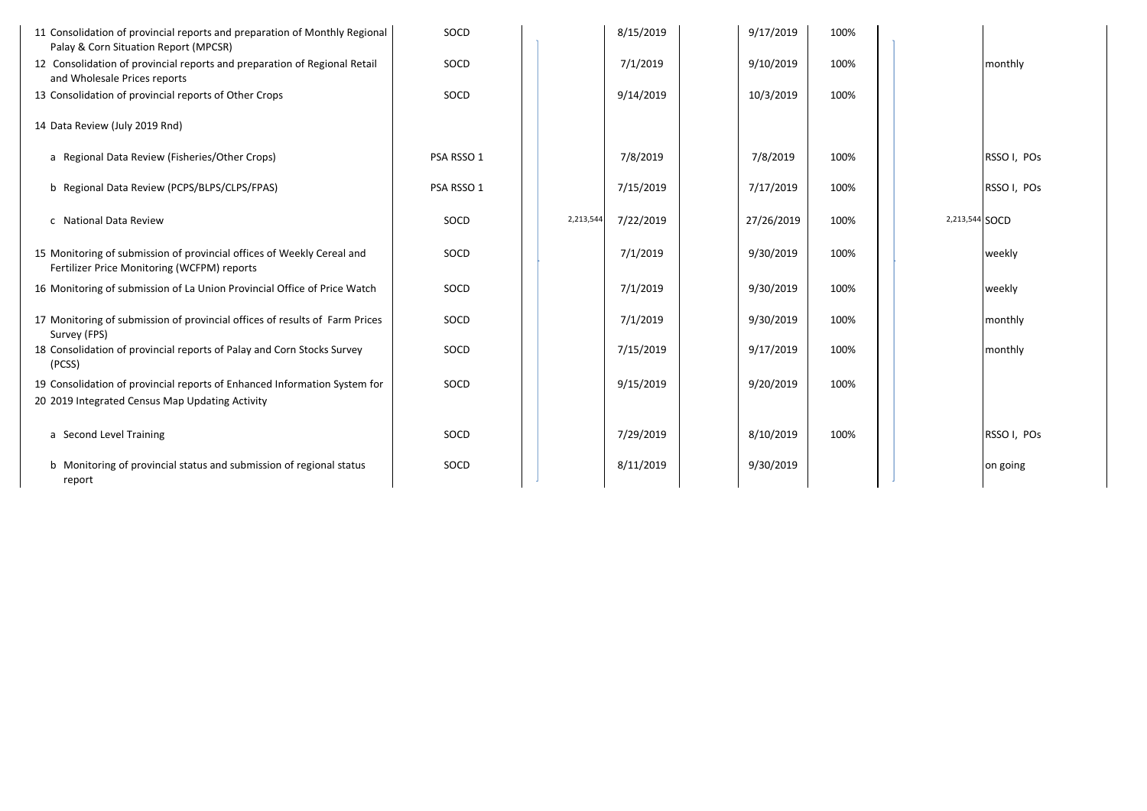| 11 Consolidation of provincial reports and preparation of Monthly Regional<br>Palay & Corn Situation Report (MPCSR)          | SOCD       |           | 8/15/2019 | 9/17/2019  | 100% |                |             |
|------------------------------------------------------------------------------------------------------------------------------|------------|-----------|-----------|------------|------|----------------|-------------|
| 12 Consolidation of provincial reports and preparation of Regional Retail<br>and Wholesale Prices reports                    | SOCD       |           | 7/1/2019  | 9/10/2019  | 100% |                | monthly     |
| 13 Consolidation of provincial reports of Other Crops                                                                        | SOCD       |           | 9/14/2019 | 10/3/2019  | 100% |                |             |
| 14 Data Review (July 2019 Rnd)                                                                                               |            |           |           |            |      |                |             |
| a Regional Data Review (Fisheries/Other Crops)                                                                               | PSA RSSO 1 |           | 7/8/2019  | 7/8/2019   | 100% |                | RSSO I, POs |
| b Regional Data Review (PCPS/BLPS/CLPS/FPAS)                                                                                 | PSA RSSO 1 |           | 7/15/2019 | 7/17/2019  | 100% |                | RSSO I, POs |
| c National Data Review                                                                                                       | SOCD       | 2,213,544 | 7/22/2019 | 27/26/2019 | 100% | 2,213,544 SOCD |             |
| 15 Monitoring of submission of provincial offices of Weekly Cereal and<br>Fertilizer Price Monitoring (WCFPM) reports        | SOCD       |           | 7/1/2019  | 9/30/2019  | 100% |                | weekly      |
| 16 Monitoring of submission of La Union Provincial Office of Price Watch                                                     | SOCD       |           | 7/1/2019  | 9/30/2019  | 100% |                | weekly      |
| 17 Monitoring of submission of provincial offices of results of Farm Prices<br>Survey (FPS)                                  | SOCD       |           | 7/1/2019  | 9/30/2019  | 100% |                | monthly     |
| 18 Consolidation of provincial reports of Palay and Corn Stocks Survey<br>(PCSS)                                             | SOCD       |           | 7/15/2019 | 9/17/2019  | 100% |                | monthly     |
| 19 Consolidation of provincial reports of Enhanced Information System for<br>20 2019 Integrated Census Map Updating Activity | SOCD       |           | 9/15/2019 | 9/20/2019  | 100% |                |             |
| a Second Level Training                                                                                                      | SOCD       |           | 7/29/2019 | 8/10/2019  | 100% |                | RSSO I, POs |
| b Monitoring of provincial status and submission of regional status<br>report                                                | SOCD       |           | 8/11/2019 | 9/30/2019  |      |                | on going    |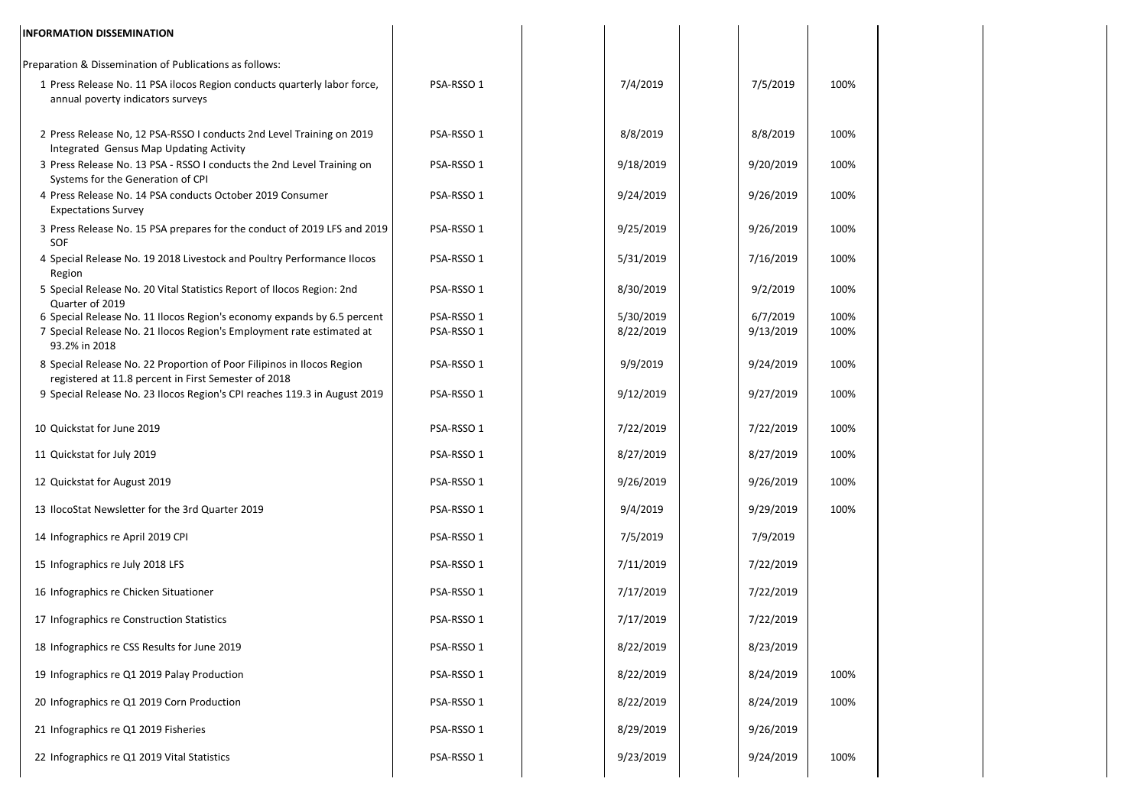| <b>INFORMATION DISSEMINATION</b>                                                                                                                                  |                          |                        |                       |              |
|-------------------------------------------------------------------------------------------------------------------------------------------------------------------|--------------------------|------------------------|-----------------------|--------------|
| Preparation & Dissemination of Publications as follows:                                                                                                           |                          |                        |                       |              |
| 1 Press Release No. 11 PSA ilocos Region conducts quarterly labor force,<br>annual poverty indicators surveys                                                     | PSA-RSSO 1               | 7/4/2019               | 7/5/2019              | 100%         |
| 2 Press Release No, 12 PSA-RSSO I conducts 2nd Level Training on 2019<br>Integrated Gensus Map Updating Activity                                                  | PSA-RSSO 1               | 8/8/2019               | 8/8/2019              | 100%         |
| 3 Press Release No. 13 PSA - RSSO I conducts the 2nd Level Training on<br>Systems for the Generation of CPI                                                       | PSA-RSSO 1               | 9/18/2019              | 9/20/2019             | 100%         |
| 4 Press Release No. 14 PSA conducts October 2019 Consumer<br><b>Expectations Survey</b>                                                                           | PSA-RSSO 1               | 9/24/2019              | 9/26/2019             | 100%         |
| 3 Press Release No. 15 PSA prepares for the conduct of 2019 LFS and 2019<br>SOF                                                                                   | PSA-RSSO 1               | 9/25/2019              | 9/26/2019             | 100%         |
| 4 Special Release No. 19 2018 Livestock and Poultry Performance Ilocos<br>Region                                                                                  | PSA-RSSO 1               | 5/31/2019              | 7/16/2019             | 100%         |
| 5 Special Release No. 20 Vital Statistics Report of Ilocos Region: 2nd<br>Quarter of 2019                                                                         | PSA-RSSO 1               | 8/30/2019              | 9/2/2019              | 100%         |
| 6 Special Release No. 11 Ilocos Region's economy expands by 6.5 percent<br>7 Special Release No. 21 Ilocos Region's Employment rate estimated at<br>93.2% in 2018 | PSA-RSSO 1<br>PSA-RSSO 1 | 5/30/2019<br>8/22/2019 | 6/7/2019<br>9/13/2019 | 100%<br>100% |
| 8 Special Release No. 22 Proportion of Poor Filipinos in Ilocos Region<br>registered at 11.8 percent in First Semester of 2018                                    | PSA-RSSO 1               | 9/9/2019               | 9/24/2019             | 100%         |
| 9 Special Release No. 23 Ilocos Region's CPI reaches 119.3 in August 2019                                                                                         | PSA-RSSO 1               | 9/12/2019              | 9/27/2019             | 100%         |
| 10 Quickstat for June 2019                                                                                                                                        | PSA-RSSO 1               | 7/22/2019              | 7/22/2019             | 100%         |
| 11 Quickstat for July 2019                                                                                                                                        | PSA-RSSO 1               | 8/27/2019              | 8/27/2019             | 100%         |
| 12 Quickstat for August 2019                                                                                                                                      | PSA-RSSO 1               | 9/26/2019              | 9/26/2019             | 100%         |
| 13 IlocoStat Newsletter for the 3rd Quarter 2019                                                                                                                  | PSA-RSSO 1               | 9/4/2019               | 9/29/2019             | 100%         |
| 14 Infographics re April 2019 CPI                                                                                                                                 | PSA-RSSO 1               | 7/5/2019               | 7/9/2019              |              |
| 15 Infographics re July 2018 LFS                                                                                                                                  | PSA-RSSO 1               | 7/11/2019              | 7/22/2019             |              |
| 16 Infographics re Chicken Situationer                                                                                                                            | PSA-RSSO 1               | 7/17/2019              | 7/22/2019             |              |
| 17 Infographics re Construction Statistics                                                                                                                        | PSA-RSSO 1               | 7/17/2019              | 7/22/2019             |              |
| 18 Infographics re CSS Results for June 2019                                                                                                                      | PSA-RSSO 1               | 8/22/2019              | 8/23/2019             |              |
| 19 Infographics re Q1 2019 Palay Production                                                                                                                       | PSA-RSSO 1               | 8/22/2019              | 8/24/2019             | 100%         |
| 20 Infographics re Q1 2019 Corn Production                                                                                                                        | PSA-RSSO 1               | 8/22/2019              | 8/24/2019             | 100%         |
| 21 Infographics re Q1 2019 Fisheries                                                                                                                              | PSA-RSSO 1               | 8/29/2019              | 9/26/2019             |              |
| 22 Infographics re Q1 2019 Vital Statistics                                                                                                                       | PSA-RSSO 1               | 9/23/2019              | 9/24/2019             | 100%         |
|                                                                                                                                                                   |                          |                        |                       |              |